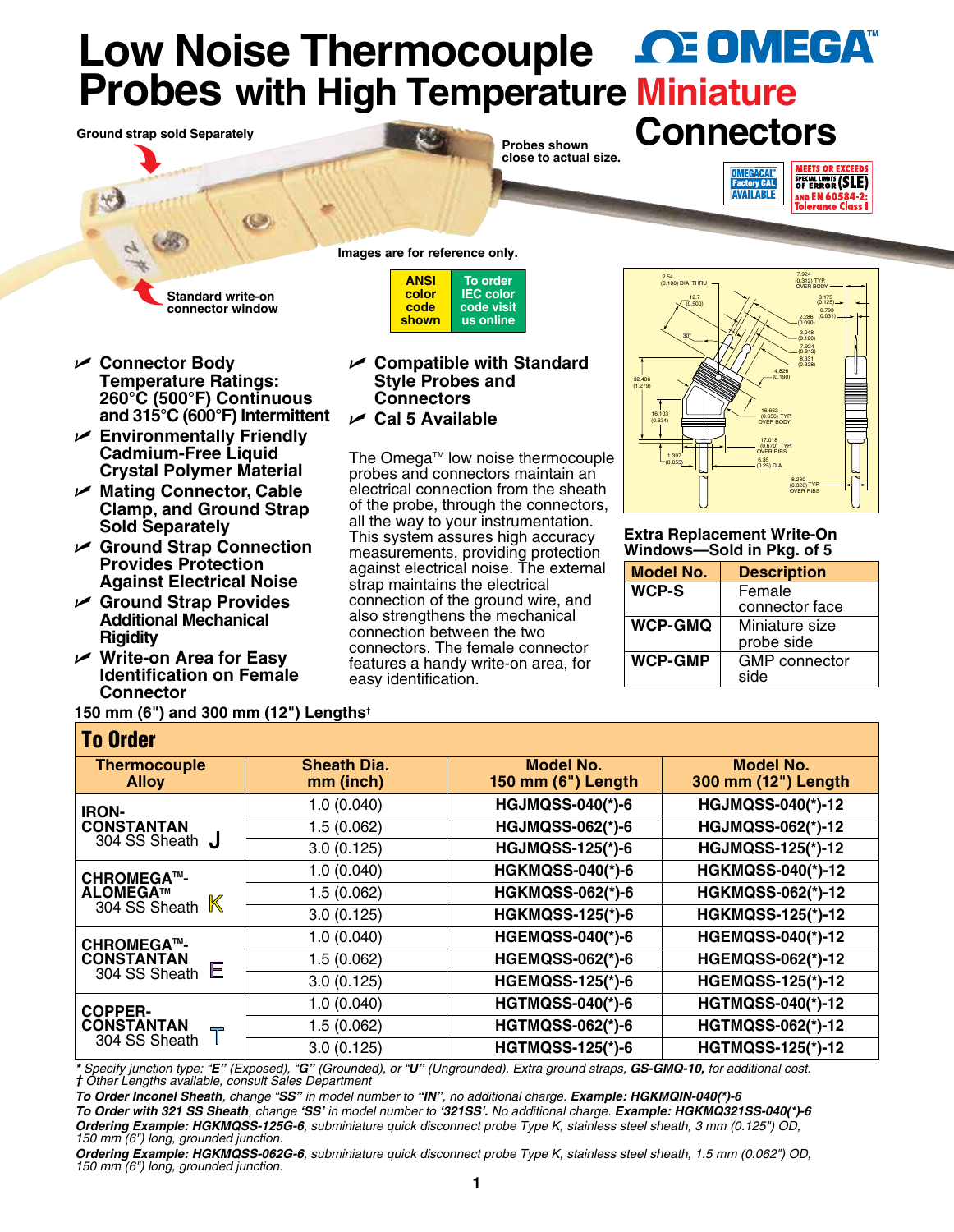## Low Noise Thermocouple **CE OMEGA Probes with High Temperatur[e Miniature](www.omega.com)**

**Ground strap sold Separately** 



**Probes shown Connectors close to actual size.**



**Images are for reference only.**

| <b>ANSI</b> | <b>To order</b>  |
|-------------|------------------|
| color       | <b>IEC</b> color |
| code        | code visit       |
| shown       | us online        |

U **Connector Body Temperature Ratings: 260°C (500°F) Continuous and 315°C (600°F) Intermittent**

**Standard write-on connector window** 

- U **Environmentally Friendly Cadmium-Free Liquid Crystal Polymer Material**
- U **Mating Connector, Cable Clamp, and Ground Strap Sold Separately**
- **► Ground Strap Connection Provides Protection Against Electrical Noise**
- U **Ground Strap Provides Additional Mechanical Rigidity**
- U **Write-on Area for Easy Identification on Female Connector**
- **150 mm (6") and 300 mm (12") Lengths†**

## To Order

U **Compatible with Standard Style Probes and Connectors** U **Cal 5 Available**

The Omega™ low noise thermocouple probes and connectors maintain an electrical connection from the sheath of the probe, through the connectors, all the way to your instrumentation. This system assures high accuracy measurements, providing protection against electrical noise. The external strap maintains the electrical connection of the ground wire, and also strengthens the mechanical connection between the two connectors. The female connector features a handy write-on area, for easy identification.



## **Extra Replacement Write-On Windows—Sold in Pkg. of 5**

| <b>Model No.</b> | <b>Description</b>           |  |  |
|------------------|------------------------------|--|--|
|                  |                              |  |  |
| WCP-S            | Female                       |  |  |
|                  | connector face               |  |  |
| <b>WCP-GMQ</b>   | Miniature size               |  |  |
|                  | probe side                   |  |  |
| <b>WCP-GMP</b>   | <b>GMP</b> connector<br>side |  |  |

| TO OLAGI                                               |                                 |                                        |                                         |  |  |  |  |
|--------------------------------------------------------|---------------------------------|----------------------------------------|-----------------------------------------|--|--|--|--|
| <b>Thermocouple</b><br><b>Alloy</b>                    | <b>Sheath Dia.</b><br>mm (inch) | <b>Model No.</b><br>150 mm (6") Length | <b>Model No.</b><br>300 mm (12") Length |  |  |  |  |
| <b>IRON-</b><br><b>CONSTANTAN</b><br>304 SS Sheath J   | 1.0(0.040)                      | <b>HGJMQSS-040(*)-6</b>                | <b>HGJMQSS-040(*)-12</b>                |  |  |  |  |
|                                                        | 1.5(0.062)                      | <b>HGJMQSS-062(*)-6</b>                | <b>HGJMQSS-062(*)-12</b>                |  |  |  |  |
|                                                        | 3.0(0.125)                      | <b>HGJMQSS-125(*)-6</b>                | <b>HGJMQSS-125(*)-12</b>                |  |  |  |  |
| CHROMEGA™-<br>ALOMEGA™<br>304 SS Sheath $K$            | 1.0(0.040)                      | <b>HGKMQSS-040(*)-6</b>                | <b>HGKMQSS-040(*)-12</b>                |  |  |  |  |
|                                                        | 1.5(0.062)                      | <b>HGKMQSS-062(*)-6</b>                | <b>HGKMQSS-062(*)-12</b>                |  |  |  |  |
|                                                        | 3.0(0.125)                      | <b>HGKMQSS-125(*)-6</b>                | <b>HGKMQSS-125(*)-12</b>                |  |  |  |  |
| CHROMEGA™-<br><b>CONSTANTAN</b><br>$304$ SS Sheath $E$ | 1.0(0.040)                      | <b>HGEMQSS-040(*)-6</b>                | <b>HGEMQSS-040(*)-12</b>                |  |  |  |  |
|                                                        | 1.5(0.062)                      | <b>HGEMQSS-062(*)-6</b>                | <b>HGEMQSS-062(*)-12</b>                |  |  |  |  |
|                                                        | 3.0(0.125)                      | <b>HGEMQSS-125(*)-6</b>                | <b>HGEMQSS-125(*)-12</b>                |  |  |  |  |
| <b>COPPER-</b><br><b>CONSTANTAN</b><br>304 SS Sheath   | 1.0(0.040)                      | <b>HGTMQSS-040(*)-6</b>                | <b>HGTMQSS-040(*)-12</b>                |  |  |  |  |
|                                                        | 1.5(0.062)                      | <b>HGTMQSS-062(*)-6</b>                | <b>HGTMQSS-062(*)-12</b>                |  |  |  |  |
|                                                        | 3.0(0.125)                      | <b>HGTMQSS-125(*)-6</b>                | <b>HGTMQSS-125(*)-12</b>                |  |  |  |  |

*\* Specify junction type: "E" (Exposed), "G" (Grounded), or "U" (Ungrounded). Extra ground straps, GS-GMQ-10, for additional cost. † Other Lengths available, consult Sales Department*

*To Order Inconel Sheath, change "SS" in model number to "IN", no additional charge. Example: HGKMQIN-040(\*)-6 To Order with 321 SS Sheath, change 'SS' in model number to '321SS'. No additional charge. Example: HGKMQ321SS-040(\*)-6 Ordering Example: HGKMQSS-125G-6, subminiature quick disconnect probe Type K, stainless steel sheath, 3 mm (0.125") OD, 150 mm (6") long, grounded junction.*

*Ordering Example: HGKMQSS-062G-6, subminiature quick disconnect probe Type K, stainless steel sheath, 1.5 mm (0.062") OD, 150 mm (6") long, grounded junction.*